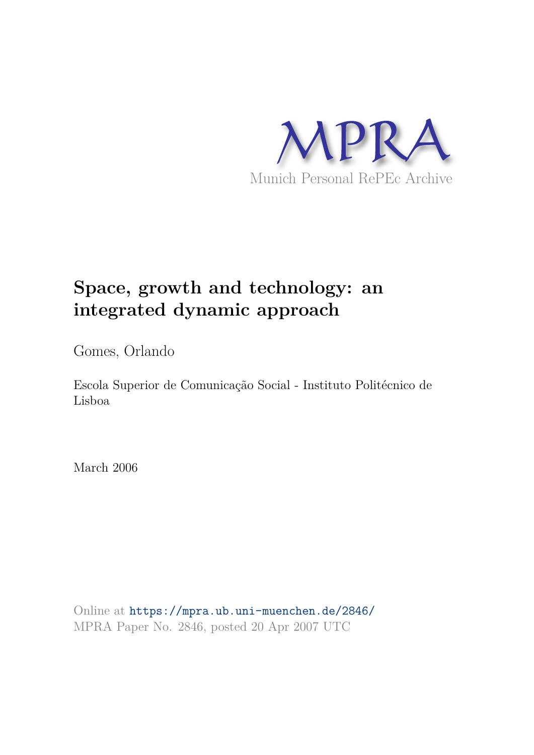

# **Space, growth and technology: an integrated dynamic approach**

Gomes, Orlando

Escola Superior de Comunicação Social - Instituto Politécnico de Lisboa

March 2006

Online at https://mpra.ub.uni-muenchen.de/2846/ MPRA Paper No. 2846, posted 20 Apr 2007 UTC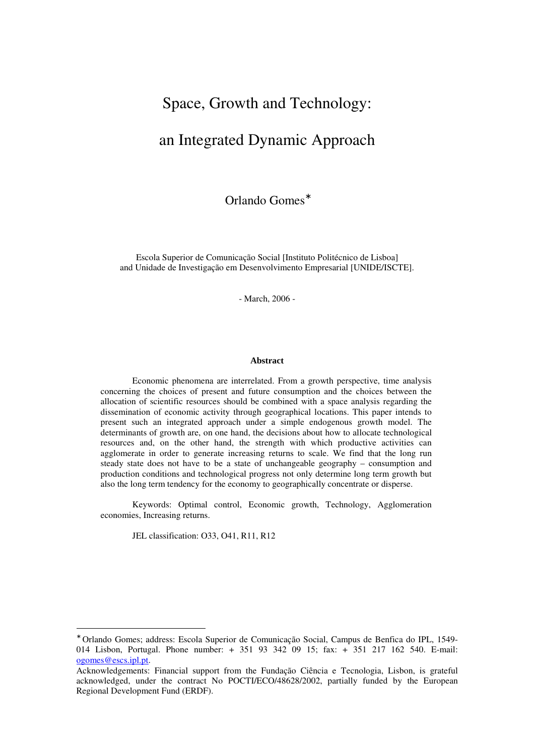# Space, Growth and Technology:

# an Integrated Dynamic Approach

Orlando Gomes<sup>\*</sup>

Escola Superior de Comunicação Social [Instituto Politécnico de Lisboa] and Unidade de Investigação em Desenvolvimento Empresarial [UNIDE/ISCTE].

- March, 2006 -

#### **Abstract**

Economic phenomena are interrelated. From a growth perspective, time analysis concerning the choices of present and future consumption and the choices between the allocation of scientific resources should be combined with a space analysis regarding the dissemination of economic activity through geographical locations. This paper intends to present such an integrated approach under a simple endogenous growth model. The determinants of growth are, on one hand, the decisions about how to allocate technological resources and, on the other hand, the strength with which productive activities can agglomerate in order to generate increasing returns to scale. We find that the long run steady state does not have to be a state of unchangeable geography – consumption and production conditions and technological progress not only determine long term growth but also the long term tendency for the economy to geographically concentrate or disperse.

Keywords: Optimal control, Economic growth, Technology, Agglomeration economies, Increasing returns.

JEL classification: O33, O41, R11, R12

 $\overline{a}$ 

<sup>∗</sup> Orlando Gomes; address: Escola Superior de Comunicação Social, Campus de Benfica do IPL, 1549- 014 Lisbon, Portugal. Phone number: + 351 93 342 09 15; fax: + 351 217 162 540. E-mail: ogomes@escs.ipl.pt.

Acknowledgements: Financial support from the Fundação Ciência e Tecnologia, Lisbon, is grateful acknowledged, under the contract No POCTI/ECO/48628/2002, partially funded by the European Regional Development Fund (ERDF).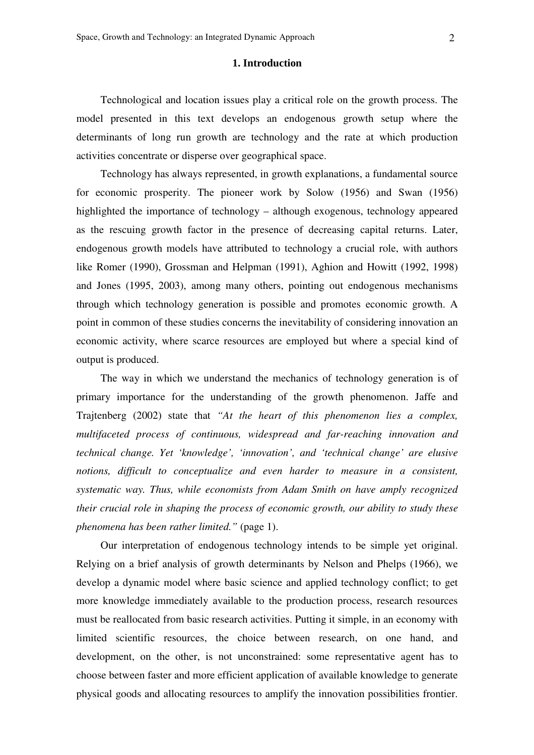#### **1. Introduction**

Technological and location issues play a critical role on the growth process. The model presented in this text develops an endogenous growth setup where the determinants of long run growth are technology and the rate at which production activities concentrate or disperse over geographical space.

Technology has always represented, in growth explanations, a fundamental source for economic prosperity. The pioneer work by Solow (1956) and Swan (1956) highlighted the importance of technology – although exogenous, technology appeared as the rescuing growth factor in the presence of decreasing capital returns. Later, endogenous growth models have attributed to technology a crucial role, with authors like Romer (1990), Grossman and Helpman (1991), Aghion and Howitt (1992, 1998) and Jones (1995, 2003), among many others, pointing out endogenous mechanisms through which technology generation is possible and promotes economic growth. A point in common of these studies concerns the inevitability of considering innovation an economic activity, where scarce resources are employed but where a special kind of output is produced.

The way in which we understand the mechanics of technology generation is of primary importance for the understanding of the growth phenomenon. Jaffe and Trajtenberg (2002) state that *"At the heart of this phenomenon lies a complex, multifaceted process of continuous, widespread and far-reaching innovation and technical change. Yet 'knowledge', 'innovation', and 'technical change' are elusive notions, difficult to conceptualize and even harder to measure in a consistent, systematic way. Thus, while economists from Adam Smith on have amply recognized their crucial role in shaping the process of economic growth, our ability to study these phenomena has been rather limited."* (page 1).

Our interpretation of endogenous technology intends to be simple yet original. Relying on a brief analysis of growth determinants by Nelson and Phelps (1966), we develop a dynamic model where basic science and applied technology conflict; to get more knowledge immediately available to the production process, research resources must be reallocated from basic research activities. Putting it simple, in an economy with limited scientific resources, the choice between research, on one hand, and development, on the other, is not unconstrained: some representative agent has to choose between faster and more efficient application of available knowledge to generate physical goods and allocating resources to amplify the innovation possibilities frontier.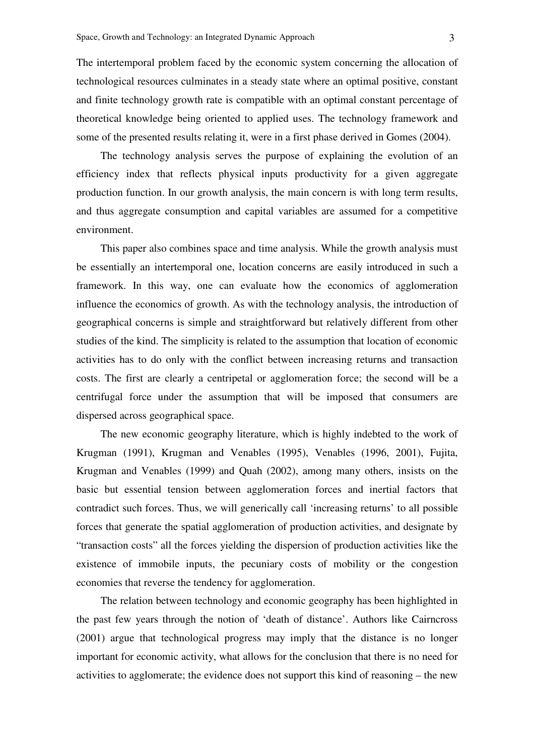The intertemporal problem faced by the economic system concerning the allocation of technological resources culminates in a steady state where an optimal positive, constant and finite technology growth rate is compatible with an optimal constant percentage of theoretical knowledge being oriented to applied uses. The technology framework and some of the presented results relating it, were in a first phase derived in Gomes (2004).

The technology analysis serves the purpose of explaining the evolution of an efficiency index that reflects physical inputs productivity for a given aggregate production function. In our growth analysis, the main concern is with long term results, and thus aggregate consumption and capital variables are assumed for a competitive environment.

This paper also combines space and time analysis. While the growth analysis must be essentially an intertemporal one, location concerns are easily introduced in such a framework. In this way, one can evaluate how the economics of agglomeration influence the economics of growth. As with the technology analysis, the introduction of geographical concerns is simple and straightforward but relatively different from other studies of the kind. The simplicity is related to the assumption that location of economic activities has to do only with the conflict between increasing returns and transaction costs. The first are clearly a centripetal or agglomeration force; the second will be a centrifugal force under the assumption that will be imposed that consumers are dispersed across geographical space.

The new economic geography literature, which is highly indebted to the work of Krugman (1991), Krugman and Venables (1995), Venables (1996, 2001), Fujita, Krugman and Venables (1999) and Quah (2002), among many others, insists on the basic but essential tension between agglomeration forces and inertial factors that contradict such forces. Thus, we will generically call 'increasing returns' to all possible forces that generate the spatial agglomeration of production activities, and designate by "transaction costs" all the forces yielding the dispersion of production activities like the existence of immobile inputs, the pecuniary costs of mobility or the congestion economies that reverse the tendency for agglomeration.

The relation between technology and economic geography has been highlighted in the past few years through the notion of 'death of distance'. Authors like Cairncross (2001) argue that technological progress may imply that the distance is no longer important for economic activity, what allows for the conclusion that there is no need for activities to agglomerate; the evidence does not support this kind of reasoning – the new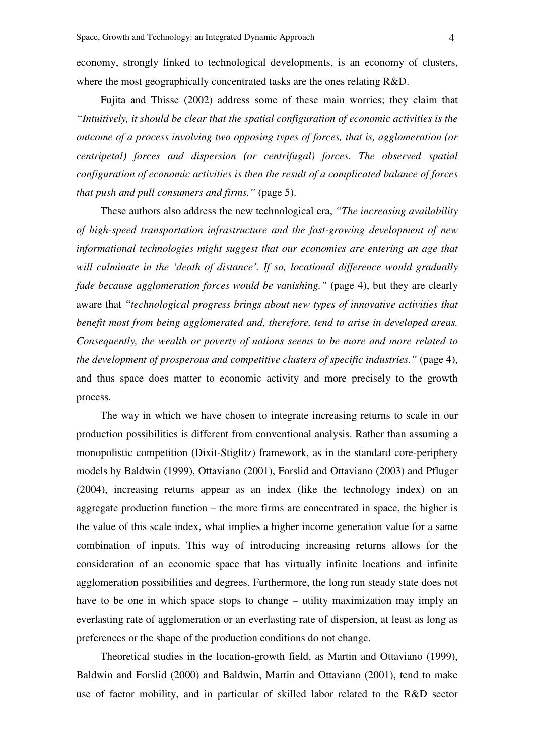economy, strongly linked to technological developments, is an economy of clusters, where the most geographically concentrated tasks are the ones relating R&D.

Fujita and Thisse (2002) address some of these main worries; they claim that *"Intuitively, it should be clear that the spatial configuration of economic activities is the outcome of a process involving two opposing types of forces, that is, agglomeration (or centripetal) forces and dispersion (or centrifugal) forces. The observed spatial configuration of economic activities is then the result of a complicated balance of forces that push and pull consumers and firms."* (page 5).

These authors also address the new technological era, *"The increasing availability of high-speed transportation infrastructure and the fast-growing development of new informational technologies might suggest that our economies are entering an age that will culminate in the 'death of distance'. If so, locational difference would gradually fade because agglomeration forces would be vanishing."* (page 4), but they are clearly aware that *"technological progress brings about new types of innovative activities that benefit most from being agglomerated and, therefore, tend to arise in developed areas. Consequently, the wealth or poverty of nations seems to be more and more related to the development of prosperous and competitive clusters of specific industries."* (page 4), and thus space does matter to economic activity and more precisely to the growth process.

The way in which we have chosen to integrate increasing returns to scale in our production possibilities is different from conventional analysis. Rather than assuming a monopolistic competition (Dixit-Stiglitz) framework, as in the standard core-periphery models by Baldwin (1999), Ottaviano (2001), Forslid and Ottaviano (2003) and Pfluger (2004), increasing returns appear as an index (like the technology index) on an aggregate production function – the more firms are concentrated in space, the higher is the value of this scale index, what implies a higher income generation value for a same combination of inputs. This way of introducing increasing returns allows for the consideration of an economic space that has virtually infinite locations and infinite agglomeration possibilities and degrees. Furthermore, the long run steady state does not have to be one in which space stops to change – utility maximization may imply an everlasting rate of agglomeration or an everlasting rate of dispersion, at least as long as preferences or the shape of the production conditions do not change.

Theoretical studies in the location-growth field, as Martin and Ottaviano (1999), Baldwin and Forslid (2000) and Baldwin, Martin and Ottaviano (2001), tend to make use of factor mobility, and in particular of skilled labor related to the R&D sector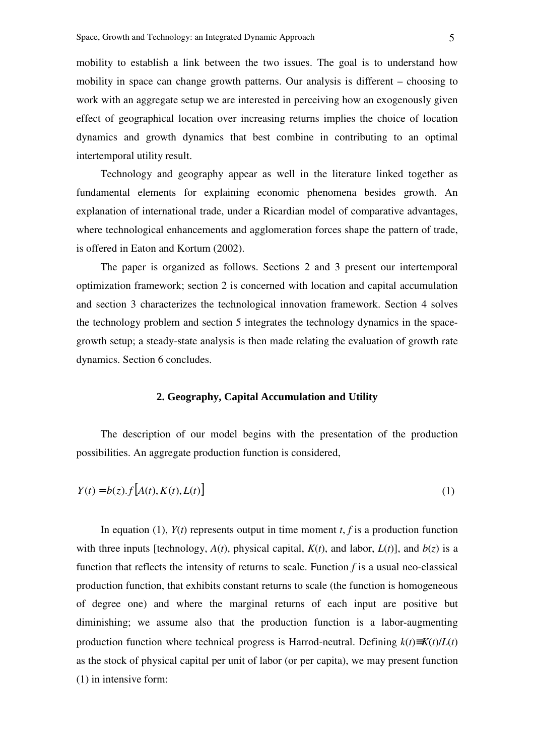mobility to establish a link between the two issues. The goal is to understand how mobility in space can change growth patterns. Our analysis is different – choosing to work with an aggregate setup we are interested in perceiving how an exogenously given effect of geographical location over increasing returns implies the choice of location dynamics and growth dynamics that best combine in contributing to an optimal intertemporal utility result.

Technology and geography appear as well in the literature linked together as fundamental elements for explaining economic phenomena besides growth. An explanation of international trade, under a Ricardian model of comparative advantages, where technological enhancements and agglomeration forces shape the pattern of trade, is offered in Eaton and Kortum (2002).

The paper is organized as follows. Sections 2 and 3 present our intertemporal optimization framework; section 2 is concerned with location and capital accumulation and section 3 characterizes the technological innovation framework. Section 4 solves the technology problem and section 5 integrates the technology dynamics in the spacegrowth setup; a steady-state analysis is then made relating the evaluation of growth rate dynamics. Section 6 concludes.

#### **2. Geography, Capital Accumulation and Utility**

The description of our model begins with the presentation of the production possibilities. An aggregate production function is considered,

$$
Y(t) = b(z) \cdot f[A(t), K(t), L(t)] \tag{1}
$$

In equation (1),  $Y(t)$  represents output in time moment *t*, *f* is a production function with three inputs [technology,  $A(t)$ , physical capital,  $K(t)$ , and labor,  $L(t)$ ], and  $b(z)$  is a function that reflects the intensity of returns to scale. Function *f* is a usual neo-classical production function, that exhibits constant returns to scale (the function is homogeneous of degree one) and where the marginal returns of each input are positive but diminishing; we assume also that the production function is a labor-augmenting production function where technical progress is Harrod-neutral. Defining  $k(t) \equiv K(t)/L(t)$ as the stock of physical capital per unit of labor (or per capita), we may present function (1) in intensive form: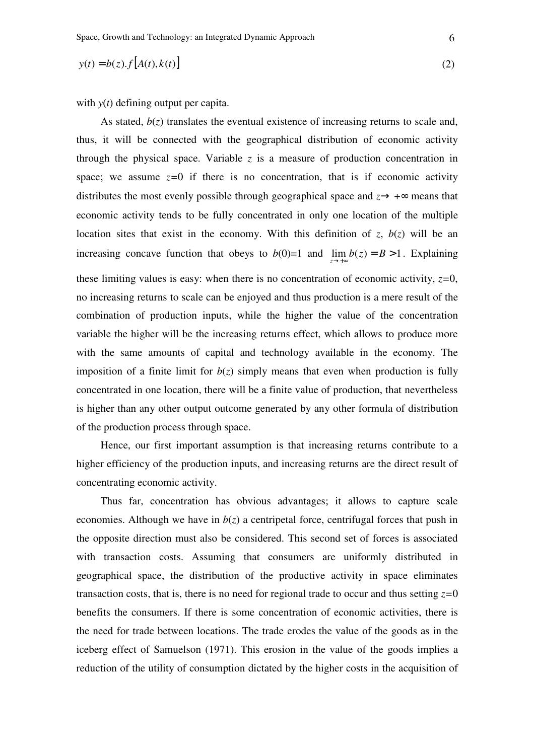$$
y(t) = b(z).f[A(t),k(t)]
$$
\n(2)

with *y*(*t*) defining output per capita.

As stated,  $b(z)$  translates the eventual existence of increasing returns to scale and, thus, it will be connected with the geographical distribution of economic activity through the physical space. Variable  $z$  is a measure of production concentration in space; we assume  $z=0$  if there is no concentration, that is if economic activity distributes the most evenly possible through geographical space and  $z \rightarrow +\infty$  means that economic activity tends to be fully concentrated in only one location of the multiple location sites that exist in the economy. With this definition of *z*,  $b(z)$  will be an increasing concave function that obeys to  $b(0)=1$  and  $\lim b(z) = B > 1$ . Explaining →+∞ *z* these limiting values is easy: when there is no concentration of economic activity,  $z=0$ , no increasing returns to scale can be enjoyed and thus production is a mere result of the combination of production inputs, while the higher the value of the concentration variable the higher will be the increasing returns effect, which allows to produce more with the same amounts of capital and technology available in the economy. The imposition of a finite limit for  $b(z)$  simply means that even when production is fully concentrated in one location, there will be a finite value of production, that nevertheless is higher than any other output outcome generated by any other formula of distribution of the production process through space.

Hence, our first important assumption is that increasing returns contribute to a higher efficiency of the production inputs, and increasing returns are the direct result of concentrating economic activity.

Thus far, concentration has obvious advantages; it allows to capture scale economies. Although we have in  $b(z)$  a centripetal force, centrifugal forces that push in the opposite direction must also be considered. This second set of forces is associated with transaction costs. Assuming that consumers are uniformly distributed in geographical space, the distribution of the productive activity in space eliminates transaction costs, that is, there is no need for regional trade to occur and thus setting  $z=0$ benefits the consumers. If there is some concentration of economic activities, there is the need for trade between locations. The trade erodes the value of the goods as in the iceberg effect of Samuelson (1971). This erosion in the value of the goods implies a reduction of the utility of consumption dictated by the higher costs in the acquisition of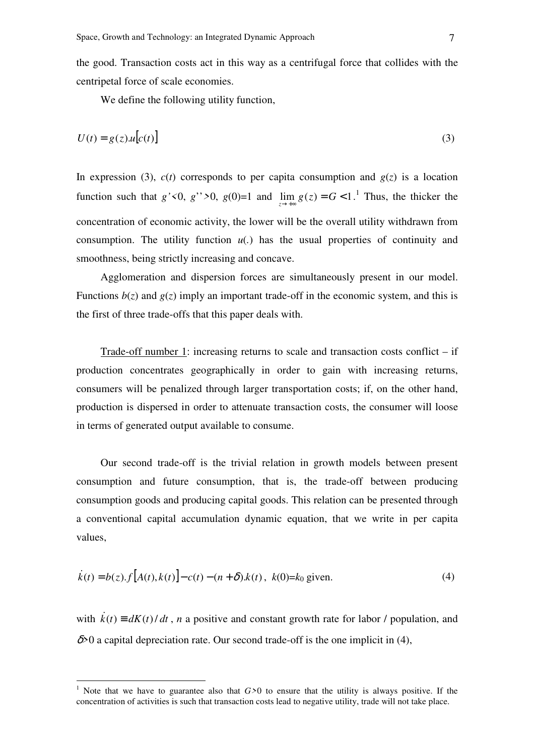the good. Transaction costs act in this way as a centrifugal force that collides with the centripetal force of scale economies.

We define the following utility function,

$$
U(t) = g(z)u[c(t)]
$$
\n(3)

In expression (3),  $c(t)$  corresponds to per capita consumption and  $g(z)$  is a location function such that  $g' < 0$ ,  $g'' > 0$ ,  $g(0)=1$  and  $\lim_{z \to +\infty} g(z) = G < 1$ .<sup>1</sup> Thus, the thicker the concentration of economic activity, the lower will be the overall utility withdrawn from consumption. The utility function  $u(.)$  has the usual properties of continuity and smoothness, being strictly increasing and concave.

Agglomeration and dispersion forces are simultaneously present in our model. Functions  $b(z)$  and  $g(z)$  imply an important trade-off in the economic system, and this is the first of three trade-offs that this paper deals with.

Trade-off number 1: increasing returns to scale and transaction costs conflict – if production concentrates geographically in order to gain with increasing returns, consumers will be penalized through larger transportation costs; if, on the other hand, production is dispersed in order to attenuate transaction costs, the consumer will loose in terms of generated output available to consume.

Our second trade-off is the trivial relation in growth models between present consumption and future consumption, that is, the trade-off between producing consumption goods and producing capital goods. This relation can be presented through a conventional capital accumulation dynamic equation, that we write in per capita values,

$$
\dot{k}(t) = b(z) \cdot f[A(t), k(t)] - c(t) - (n + \delta) \cdot k(t), \ k(0) = k_0 \text{ given.}
$$
\n(4)

with  $k(t) = dK(t)/dt$ , *n* a positive and constant growth rate for labor / population, and δ*>*0 a capital depreciation rate. Our second trade-off is the one implicit in (4),

 1 Note that we have to guarantee also that *G>*0 to ensure that the utility is always positive. If the concentration of activities is such that transaction costs lead to negative utility, trade will not take place.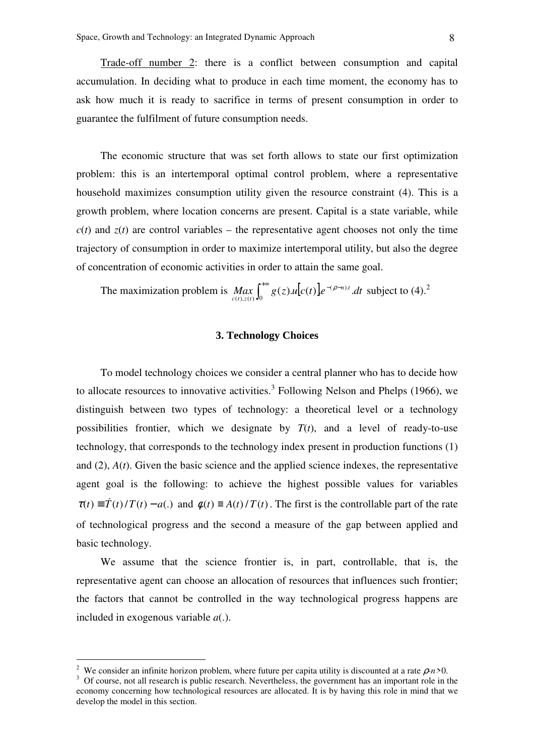Trade-off number 2: there is a conflict between consumption and capital accumulation. In deciding what to produce in each time moment, the economy has to ask how much it is ready to sacrifice in terms of present consumption in order to guarantee the fulfilment of future consumption needs.

The economic structure that was set forth allows to state our first optimization problem: this is an intertemporal optimal control problem, where a representative household maximizes consumption utility given the resource constraint (4). This is a growth problem, where location concerns are present. Capital is a state variable, while  $c(t)$  and  $z(t)$  are control variables – the representative agent chooses not only the time trajectory of consumption in order to maximize intertemporal utility, but also the degree of concentration of economic activities in order to attain the same goal.

The maximization problem is  $Max_{c(t), z(t)} \int_0^{+\infty} g(z) u[c(t)] e^{-(\rho-z)}$  $\boldsymbol{0}$  $(\rho - n).$  $\iint_{c(t),z(t)} \int_{0}^{\infty} g(z)u[c(t)]e^{-(\rho-n)t} dt$  $\rho_{n}^{(n)}(t)$  subject to (4).<sup>2</sup>

#### **3. Technology Choices**

To model technology choices we consider a central planner who has to decide how to allocate resources to innovative activities.<sup>3</sup> Following Nelson and Phelps (1966), we distinguish between two types of technology: a theoretical level or a technology possibilities frontier, which we designate by  $T(t)$ , and a level of ready-to-use technology, that corresponds to the technology index present in production functions (1) and (2), *A*(*t*). Given the basic science and the applied science indexes, the representative agent goal is the following: to achieve the highest possible values for variables  $\tau(t) \equiv T(t)/T(t) - a(.)$  and  $\phi(t) \equiv A(t)/T(t)$ . The first is the controllable part of the rate of technological progress and the second a measure of the gap between applied and basic technology.

We assume that the science frontier is, in part, controllable, that is, the representative agent can choose an allocation of resources that influences such frontier; the factors that cannot be controlled in the way technological progress happens are included in exogenous variable *a*(.).

 $\overline{a}$ 

<sup>&</sup>lt;sup>2</sup> We consider an infinite horizon problem, where future per capita utility is discounted at a rate  $\rho$ -n>0.

<sup>&</sup>lt;sup>3</sup> Of course, not all research is public research. Nevertheless, the government has an important role in the economy concerning how technological resources are allocated. It is by having this role in mind that we develop the model in this section.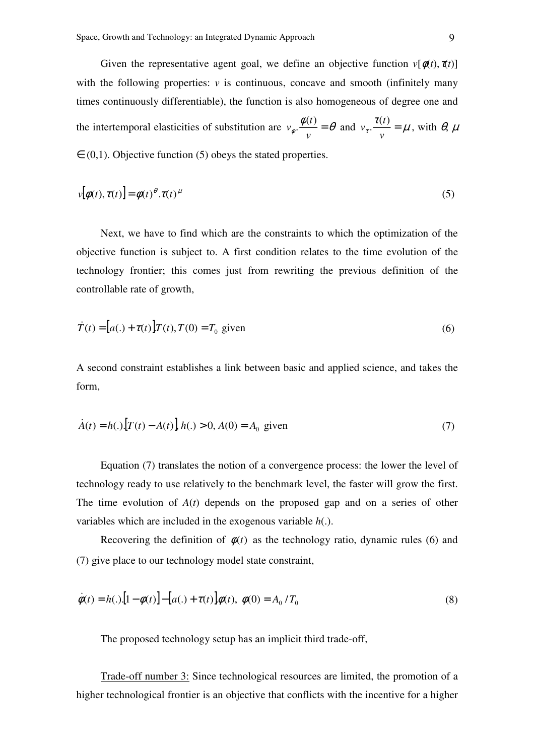Given the representative agent goal, we define an objective function  $v[\phi(t), \pi(t)]$ with the following properties:  $\nu$  is continuous, concave and smooth (infinitely many times continuously differentiable), the function is also homogeneous of degree one and the intertemporal elasticities of substitution are  $v_{\phi}$ .  $\frac{\phi(t)}{v} = \theta$  $v_{\phi}$ .  $\frac{\phi(t)}{\phi(t)} = \theta$  and  $v_{\tau}$ .  $\frac{\tau(t)}{\phi(t)} = \mu$ *v*  $v_r \cdot \frac{\tau(t)}{\tau} = \mu$ , with  $\theta$ ,  $\mu$  $\in (0,1)$ . Objective function (5) obeys the stated properties.

$$
v[\phi(t), \tau(t)] = \phi(t)^{\theta} \cdot \tau(t)^{\mu}
$$
\n(5)

Next, we have to find which are the constraints to which the optimization of the objective function is subject to. A first condition relates to the time evolution of the technology frontier; this comes just from rewriting the previous definition of the controllable rate of growth,

$$
\dot{T}(t) = [a(.) + \tau(t)]T(t), T(0) = T_0
$$
 given\n
$$
(6)
$$

A second constraint establishes a link between basic and applied science, and takes the form,

$$
\dot{A}(t) = h(.) \left[ T(t) - A(t) \right], h(.) > 0, A(0) = A_0 \text{ given} \tag{7}
$$

Equation (7) translates the notion of a convergence process: the lower the level of technology ready to use relatively to the benchmark level, the faster will grow the first. The time evolution of *A*(*t*) depends on the proposed gap and on a series of other variables which are included in the exogenous variable *h*(.).

Recovering the definition of  $\phi(t)$  as the technology ratio, dynamic rules (6) and (7) give place to our technology model state constraint,

$$
\dot{\phi}(t) = h(.)\left[1 - \phi(t)\right] - \left[a(.) + \tau(t)\right]\phi(t), \ \phi(0) = A_0 \, T_0 \tag{8}
$$

The proposed technology setup has an implicit third trade-off,

Trade-off number 3: Since technological resources are limited, the promotion of a higher technological frontier is an objective that conflicts with the incentive for a higher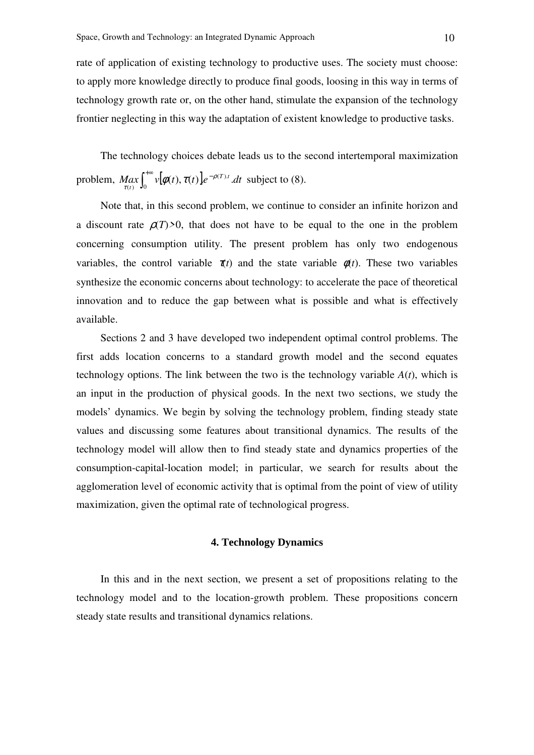rate of application of existing technology to productive uses. The society must choose: to apply more knowledge directly to produce final goods, loosing in this way in terms of technology growth rate or, on the other hand, stimulate the expansion of the technology frontier neglecting in this way the adaptation of existent knowledge to productive tasks.

The technology choices debate leads us to the second intertemporal maximization problem,  $Max_{\tau(t)} \int_0^{+\infty} v[\phi(t), \tau(t)] e^{-\tau}$ 0  $(T).$  $\lim_{\tau(t)} \int_0^\infty v[\phi(t),\tau(t)]e^{-\rho(T).t}dt$ ρ  $\left\{ \begin{array}{ll} d\alpha x \\ \tau(t) \end{array} \right\}$   $\left[ \begin{array}{ll} \psi(\phi(t), \tau(t)) e^{-\rho(T)t} \cdot dt \end{array} \right]$  subject to (8).

Note that, in this second problem, we continue to consider an infinite horizon and a discount rate  $\rho(T)$ >0, that does not have to be equal to the one in the problem concerning consumption utility. The present problem has only two endogenous variables, the control variable  $\pi(t)$  and the state variable  $\phi(t)$ . These two variables synthesize the economic concerns about technology: to accelerate the pace of theoretical innovation and to reduce the gap between what is possible and what is effectively available.

Sections 2 and 3 have developed two independent optimal control problems. The first adds location concerns to a standard growth model and the second equates technology options. The link between the two is the technology variable  $A(t)$ , which is an input in the production of physical goods. In the next two sections, we study the models' dynamics. We begin by solving the technology problem, finding steady state values and discussing some features about transitional dynamics. The results of the technology model will allow then to find steady state and dynamics properties of the consumption-capital-location model; in particular, we search for results about the agglomeration level of economic activity that is optimal from the point of view of utility maximization, given the optimal rate of technological progress.

#### **4. Technology Dynamics**

In this and in the next section, we present a set of propositions relating to the technology model and to the location-growth problem. These propositions concern steady state results and transitional dynamics relations.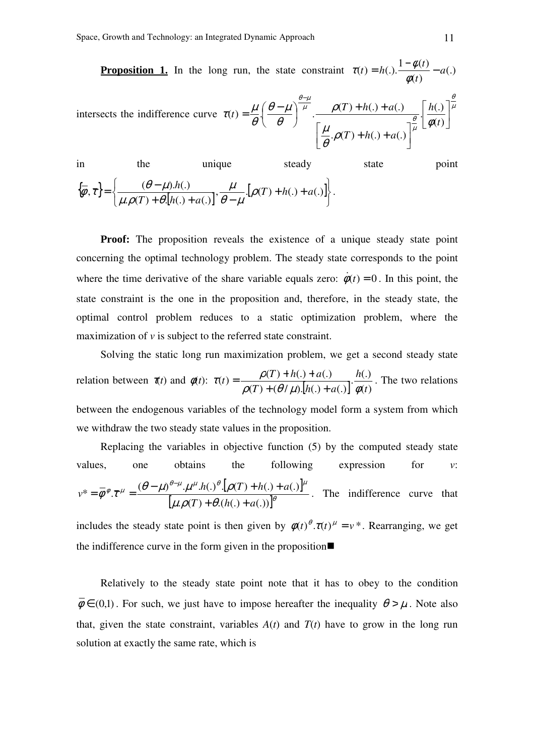**Proposition 1.** In the long run, the state constraint  $\tau(t) = h(.) \frac{1 - \psi(t)}{1 - \psi(t)} - a(.)$  $(t)$  $(t) = h(.) \cdot \frac{1 - \phi(t)}{t} - a$ *t*  $t = h(.) \cdot \frac{1 - \phi(t)}{t}$ φ  $\tau(t) = h(.) \cdot \frac{1-\phi}{t}$ 

intersects the indifference curve 
$$
\tau(t) = \frac{\mu}{\theta} \left( \frac{\theta - \mu}{\theta} \right)^{\frac{\theta - \mu}{\mu}} \cdot \frac{\rho(T) + h(.) + a(.)}{\left[ \frac{\mu}{\theta} \cdot \rho(T) + h(.) + a(.) \right]^{\frac{\theta}{\mu}} \left[ \frac{h(.)}{\phi(t)} \right]^{\frac{\theta}{\mu}}
$$

in the unique steady state point  $\{\overline{\phi}, \overline{\tau}\} = \left\{\frac{(\theta - \mu).h(.)}{\mu.\rho(T) + \theta.[h(.) + a(.)]}, \frac{\mu}{\theta - \mu}.[\rho(T) + h(.) + a(.)]\right\}$  $\left\vert \right\rangle$  $\mathcal{L}$  $\overline{\mathcal{L}}$ ∤  $\int$  $+ h(.) +$  $+ \theta$ .[h(.) + a(.)]'  $\theta$  –  $=\frac{\theta-\mu}{\sqrt{T}}\cdot\frac{(\theta-\mu)h(.)}{\sqrt{T}}\cdot\frac{\mu}{\rho(T)}\cdot\left[\rho(T)+h(.)+a(.)\right]$  $\mathcal{P}(T) + \theta$ [h(.) + a(.)  $\{\bar{\tau}\} = \left\{ \frac{(\theta - \mu) \cdot h(.)}{\sqrt{2\pi} \cdot \sigma_1^2 \cdot \sigma_2^2} \cdot \frac{\mu}{\sigma_2^2} \cdot \left[ \rho(T) + h(.) + a \right] \right\}$  $T$   $+$   $\theta$ *l* $h$ (*,*)  $+$  *a*  $\frac{h(.)}{(.)+a(.)}$ ,  $\frac{\mu}{\theta-\mu}$ . [ $\rho$  $\mu$  $\mu.\rho(T)+\theta$  $\left\{\overline{\phi}, \overline{\tau}\right\} = \left\{\frac{(\theta - \mu) h(.)}{\sqrt{m} \sqrt{h} \left[\left(\frac{\mu}{\phi}\right) + h(.) + a(.)\right]} \right\}.$ 

**Proof:** The proposition reveals the existence of a unique steady state point concerning the optimal technology problem. The steady state corresponds to the point where the time derivative of the share variable equals zero:  $\dot{\phi}(t) = 0$ . In this point, the state constraint is the one in the proposition and, therefore, in the steady state, the optimal control problem reduces to a static optimization problem, where the maximization of *v* is subject to the referred state constraint.

Solving the static long run maximization problem, we get a second steady state relation between  $\tau(t)$  and  $\phi(t)$ :  $\tau(t) = \frac{\rho(T) + h(.) + a(.)}{\rho(T) + (\theta/\mu)[h(.) + a(.)]} \cdot \frac{h(.)}{\phi(t)}$  $(T) + (\theta / \mu).[h(.) + a(.)$  $(t) = \frac{\rho(T) + h(.) + a(.)}{\sqrt{T} + h(.) + a(.)}$ *t h*  $T$   $)+$   $(\theta/\mu)$   $[h(.) + a$  $f$  =  $\frac{\rho(T) + h(.) + a}{\sqrt{T}}$  $\rho(T)$  +  $(\theta/\mu)$ .[h(.) + a(.)]  $\phi$  $\tau(t) = \frac{\rho(T) + h(.) + a(.)}{\rho(T) + (\theta/\mu)\left[h(.) + h'\right]}$  $=\frac{\rho(T)+h(.)+a(.)}{\sqrt{m_1^2+(a_1^2+a_2^2)}\cdot\frac{h(.)}{h(.)}}$ . The two relations between the endogenous variables of the technology model form a system from which we withdraw the two steady state values in the proposition.

Replacing the variables in objective function (5) by the computed steady state values, one obtains the following expression for 
$$
v
$$
:  
\n
$$
v^* = \overline{\phi}^{\phi} \cdot \overline{\tau}^{\mu} = \frac{(\theta - \mu)^{\theta - \mu} \cdot \mu^{\mu} \cdot h(.)^{\theta} \cdot [\rho(T) + h(.) + a(.)]^{\mu}}{[\mu \cdot \rho(T) + \theta \cdot (h(.) + a(.))]^{\theta}}
$$
. The indifference curve that

includes the steady state point is then given by  $\phi(t)^\theta \cdot \tau(t)^\mu = v^*$ . Rearranging, we get the indifference curve in the form given in the proposition

Relatively to the steady state point note that it has to obey to the condition  $\overline{\phi} \in (0,1)$ . For such, we just have to impose hereafter the inequality  $\theta > \mu$ . Note also that, given the state constraint, variables  $A(t)$  and  $T(t)$  have to grow in the long run solution at exactly the same rate, which is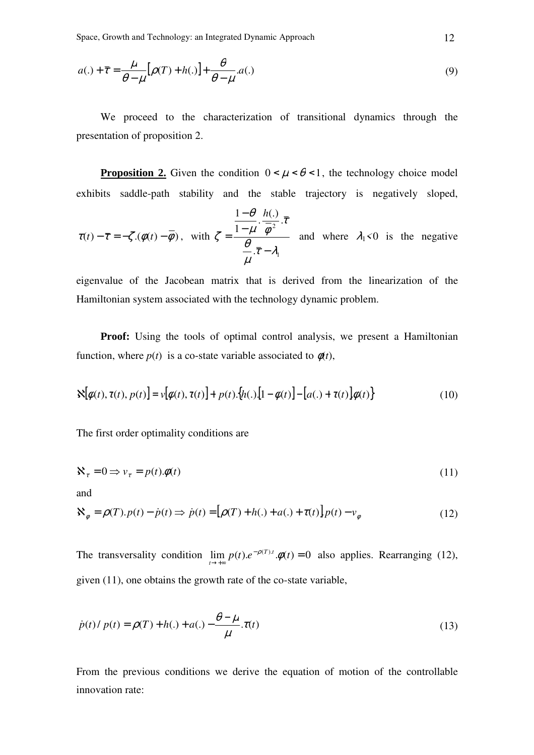Space, Growth and Technology: an Integrated Dynamic Approach 12

$$
a(.) + \overline{\tau} = \frac{\mu}{\theta - \mu} [\rho(T) + h(.)] + \frac{\theta}{\theta - \mu} . a(.)
$$
\n(9)

We proceed to the characterization of transitional dynamics through the presentation of proposition 2.

**Proposition 2.** Given the condition  $0 < \mu < \theta < 1$ , the technology choice model exhibits saddle-path stability and the stable trajectory is negatively sloped,

$$
\tau(t) - \overline{\tau} = -\zeta \cdot (\phi(t) - \overline{\phi}), \text{ with } \zeta = \frac{\frac{1-\theta}{1-\mu} \cdot \frac{h(.)}{\overline{\phi}^2} \cdot \overline{\tau}}{\frac{\theta}{\mu} \cdot \overline{\tau} - \lambda_1} \text{ and where } \lambda_1 < 0 \text{ is the negative}
$$

eigenvalue of the Jacobean matrix that is derived from the linearization of the Hamiltonian system associated with the technology dynamic problem.

**Proof:** Using the tools of optimal control analysis, we present a Hamiltonian function, where  $p(t)$  is a co-state variable associated to  $\phi(t)$ ,

$$
\mathbf{X}[\phi(t),\tau(t),p(t)]=\mathbf{v}[\phi(t),\tau(t)]+p(t)\cdot\{h(.)\left[1-\phi(t)\right]-\left[a(.)+\tau(t)\right]\phi(t)\}\tag{10}
$$

The first order optimality conditions are

$$
\mathbf{X}_{\tau} = 0 \Longrightarrow \mathbf{v}_{\tau} = p(t)\cdot\phi(t) \tag{11}
$$

and

$$
\mathbf{X}_{\phi} = \rho(T).p(t) - \dot{p}(t) \Rightarrow \dot{p}(t) = [\rho(T) + h(.) + a(.) + \tau(t)]p(t) - v_{\phi}
$$
\n(12)

The transversality condition  $\lim p(t) \cdot e^{-\rho(T)t} \cdot \phi(t) = 0$  $\lim_{t\to+\infty} p(t) \cdot e^{-\rho(T) \cdot t} \cdot \phi(t)$  $\lim_{t \to +\infty} p(t) e^{-\rho(T)t} \cdot \phi(t) = 0$  also applies. Rearranging (12), given (11), one obtains the growth rate of the co-state variable,

$$
\dot{p}(t) / p(t) = \rho(T) + h(.) + a(.) - \frac{\theta - \mu}{\mu} \tau(t)
$$
\n(13)

From the previous conditions we derive the equation of motion of the controllable innovation rate: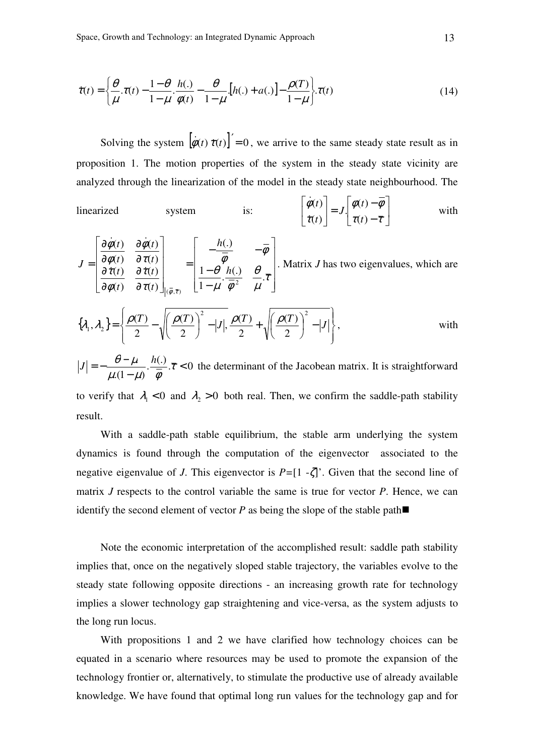$$
\dot{\tau}(t) = \left\{ \frac{\theta}{\mu} . \tau(t) - \frac{1-\theta}{1-\mu} . \frac{h(.)}{\phi(t)} - \frac{\theta}{1-\mu} . [h(.) + a(.)] - \frac{\rho(T)}{1-\mu} \right\} . \tau(t)
$$
\n(14)

Solving the system  $\left[\dot{\phi}(t) \dot{\tau}(t)\right]' = 0$ , we arrive to the same steady state result as in proposition 1. The motion properties of the system in the steady state vicinity are analyzed through the linearization of the model in the steady state neighbourhood. The

linearized system is: 
$$
\begin{bmatrix} \dot{\phi}(t) \\ \dot{\tau}(t) \end{bmatrix} = J \begin{bmatrix} \phi(t) - \overline{\phi} \\ \tau(t) - \overline{\tau} \end{bmatrix}
$$
 with

 $\overline{\phantom{a}}$  $\overline{\phantom{a}}$  $\overline{\phantom{a}}$  $\overline{\phantom{a}}$  $\rfloor$ 1  $\mathsf{L}$  $\mathbf{r}$  $\mathbf{r}$  $\mathbf{r}$ L Г − −  $-\frac{n(y)}{T}$  – =  $\overline{\phantom{a}}$  $\overline{\phantom{a}}$  $\overline{\phantom{a}}$  $\overline{\phantom{a}}$  $\rfloor$ 1  $\mathbf{r}$  $\mathbf{r}$  $\mathbf{r}$ L L Г ∂ ∂ ∂ ∂ ∂ ∂ ∂ ∂ = τ  $\mu$ θ  $\mu$   $\phi$ θ φ φ τ τ φ τ τ φ φ φ  $\phi$  ,  $\bar{\tau}$  $\cdot \frac{h(.)}{\cdot} \quad \frac{\theta}{\cdot}$ . 1 1 (.)  $(t)$  $(t)$  $(t)$  $(t)$  $(t)$  $(t)$  $(t)$  $(t)$ 2  $(\phi,\overline{\tau})$ *h h t t t t t t t t*  $J = \begin{bmatrix} \frac{\partial \varphi(t)}{\partial \dot{\tau}(t)} & \frac{\partial t}{\partial \dot{\tau}} \end{bmatrix}$  $\dot{\phi}(t)$   $\partial \dot{\phi}$ . Matrix *J* has two eigenvalues, which are

$$
\{\lambda_1, \lambda_2\} = \left\{\frac{\rho(T)}{2} - \sqrt{\left(\frac{\rho(T)}{2}\right)^2 - |J|}, \frac{\rho(T)}{2} + \sqrt{\left(\frac{\rho(T)}{2}\right)^2 - |J|}\right\},\qquad \text{with}
$$

 $\cdot \frac{h(.)}{\overline{t}}$ . $\overline{\tau}$  < 0  $(1 - \mu)$  $\lt$ −  $=-\frac{\theta-\mu}{\sqrt{1-\frac{1}{2}}}\cdot\frac{h(.)}{\sqrt{1-\frac{1}{2}}}\cdot\frac{\pi}{\sqrt{1-\frac{1}{2}}}\cdot\frac{h(.)}{\sqrt{1-\frac{1}{2}}}\cdot\frac{\pi}{\sqrt{1-\frac{1}{2}}}\cdot\frac{h(.)}{\sqrt{1-\frac{1}{2}}}\cdot\frac{\pi}{\sqrt{1-\frac{1}{2}}}\cdot\frac{h(.)}{\sqrt{1-\frac{1}{2}}}\cdot\frac{\pi}{\sqrt{1-\frac{1}{2}}}\cdot\frac{h(.)}{\sqrt{1-\frac{1}{2}}}\cdot\frac{\pi}{\sqrt{1-\frac{1}{2}}}\cdot\frac{h(.)}{\sqrt{1-\frac{1$  $\mu$ . $(1-\mu)$   $\phi$  $J = -\frac{\theta - \mu}{\sigma} \cdot \frac{h(.)}{\overline{T}}$ .  $\overline{\tau}$  < 0 the determinant of the Jacobean matrix. It is straightforward to verify that  $\lambda_1 < 0$  and  $\lambda_2 > 0$  both real. Then, we confirm the saddle-path stability result.

With a saddle-path stable equilibrium, the stable arm underlying the system dynamics is found through the computation of the eigenvector associated to the negative eigenvalue of *J*. This eigenvector is *P=*[1 -ζ]'. Given that the second line of matrix *J* respects to the control variable the same is true for vector *P*. Hence, we can identify the second element of vector  $P$  as being the slope of the stable path

Note the economic interpretation of the accomplished result: saddle path stability implies that, once on the negatively sloped stable trajectory, the variables evolve to the steady state following opposite directions - an increasing growth rate for technology implies a slower technology gap straightening and vice-versa, as the system adjusts to the long run locus.

With propositions 1 and 2 we have clarified how technology choices can be equated in a scenario where resources may be used to promote the expansion of the technology frontier or, alternatively, to stimulate the productive use of already available knowledge. We have found that optimal long run values for the technology gap and for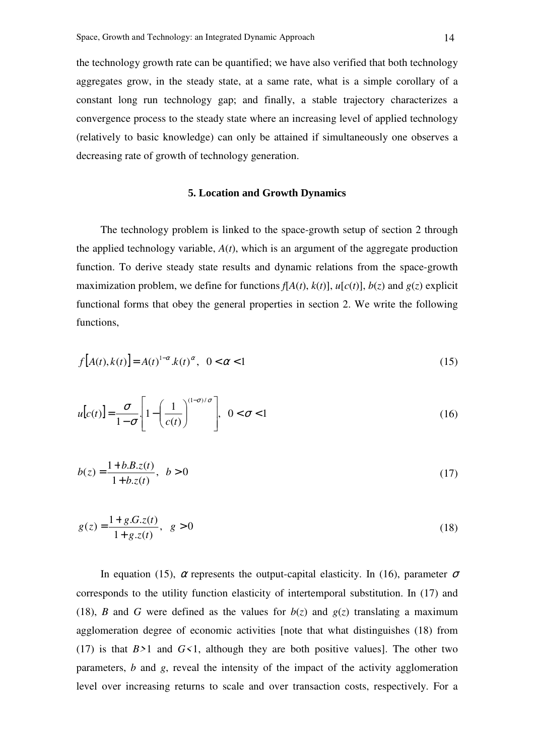the technology growth rate can be quantified; we have also verified that both technology aggregates grow, in the steady state, at a same rate, what is a simple corollary of a constant long run technology gap; and finally, a stable trajectory characterizes a convergence process to the steady state where an increasing level of applied technology (relatively to basic knowledge) can only be attained if simultaneously one observes a decreasing rate of growth of technology generation.

## **5. Location and Growth Dynamics**

The technology problem is linked to the space-growth setup of section 2 through the applied technology variable, *A*(*t*), which is an argument of the aggregate production function. To derive steady state results and dynamic relations from the space-growth maximization problem, we define for functions  $f[A(t), k(t)]$ ,  $u[c(t)]$ ,  $b(z)$  and  $g(z)$  explicit functional forms that obey the general properties in section 2. We write the following functions,

$$
f[A(t), k(t)] = A(t)^{1-\alpha}.k(t)^{\alpha}, \ \ 0 < \alpha < 1
$$
\n(15)

$$
u[c(t)] = \frac{\sigma}{1 - \sigma} \left[ 1 - \left( \frac{1}{c(t)} \right)^{(1 - \sigma)/\sigma} \right], \quad 0 < \sigma < 1
$$
 (16)

$$
b(z) = \frac{1 + b \cdot B \cdot z(t)}{1 + b \cdot z(t)}, \quad b > 0
$$
\n(17)

$$
g(z) = \frac{1 + g.S.z(t)}{1 + g.z(t)}, \quad g > 0
$$
\n(18)

In equation (15),  $\alpha$  represents the output-capital elasticity. In (16), parameter  $\sigma$ corresponds to the utility function elasticity of intertemporal substitution. In (17) and (18), *B* and *G* were defined as the values for  $b(z)$  and  $g(z)$  translating a maximum agglomeration degree of economic activities [note that what distinguishes (18) from (17) is that  $B>1$  and  $G<1$ , although they are both positive values]. The other two parameters, *b* and *g*, reveal the intensity of the impact of the activity agglomeration level over increasing returns to scale and over transaction costs, respectively. For a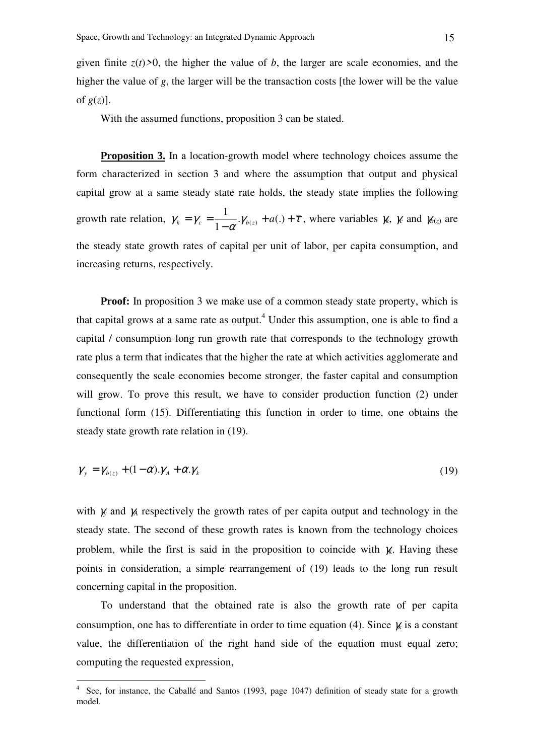given finite  $z(t) > 0$ , the higher the value of *b*, the larger are scale economies, and the higher the value of *g*, the larger will be the transaction costs [the lower will be the value of  $g(z)$ ].

With the assumed functions, proposition 3 can be stated.

**Proposition 3.** In a location-growth model where technology choices assume the form characterized in section 3 and where the assumption that output and physical capital grow at a same steady state rate holds, the steady state implies the following growth rate relation,  $\gamma_k = \gamma_c = \frac{1}{1 - \alpha} \cdot \gamma_{b(z)} + a(.) + \overline{\tau}$ −  $=\gamma_c = \frac{1}{1 - \gamma_{b(z)}} + a(.)$ 1 1  $\chi_k = \gamma_c = \frac{1}{1 - \alpha} \gamma_{b(z)} + a(.) + \overline{\tau}$ , where variables  $\gamma_k$ ,  $\gamma_c$  and  $\gamma_{b(z)}$  are the steady state growth rates of capital per unit of labor, per capita consumption, and increasing returns, respectively.

**Proof:** In proposition 3 we make use of a common steady state property, which is that capital grows at a same rate as output.<sup>4</sup> Under this assumption, one is able to find a capital / consumption long run growth rate that corresponds to the technology growth rate plus a term that indicates that the higher the rate at which activities agglomerate and consequently the scale economies become stronger, the faster capital and consumption will grow. To prove this result, we have to consider production function (2) under functional form (15). Differentiating this function in order to time, one obtains the steady state growth rate relation in (19).

$$
\gamma_{y} = \gamma_{b(z)} + (1 - \alpha) \cdot \gamma_{A} + \alpha \cdot \gamma_{k} \tag{19}
$$

with  $\gamma$  and  $\gamma$ <sup>*A*</sup> respectively the growth rates of per capita output and technology in the steady state. The second of these growth rates is known from the technology choices problem, while the first is said in the proposition to coincide with γ*k*. Having these points in consideration, a simple rearrangement of (19) leads to the long run result concerning capital in the proposition.

To understand that the obtained rate is also the growth rate of per capita consumption, one has to differentiate in order to time equation (4). Since γ*k* is a constant value, the differentiation of the right hand side of the equation must equal zero; computing the requested expression,

 4 See, for instance, the Caballé and Santos (1993, page 1047) definition of steady state for a growth model.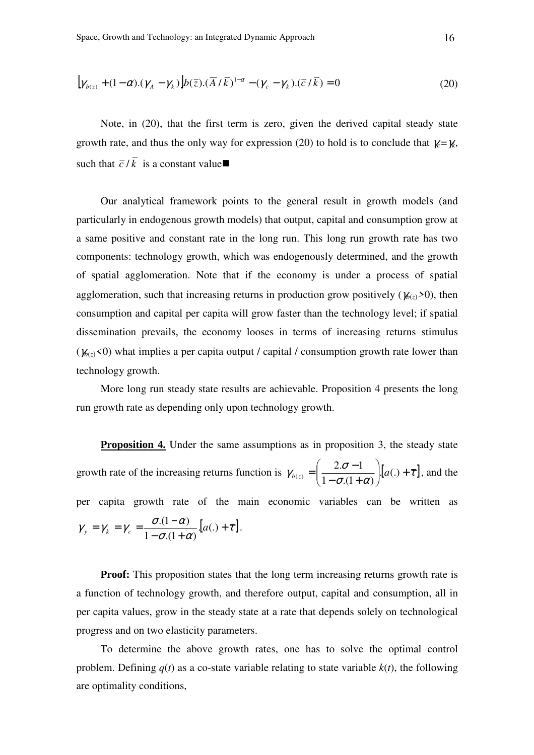$$
[\gamma_{b(z)} + (1 - \alpha) \cdot (\gamma_A - \gamma_k)] b(\overline{z}) \cdot (\overline{A} / \overline{k})^{1 - \alpha} - (\gamma_c - \gamma_k) \cdot (\overline{c} / \overline{k}) = 0 \tag{20}
$$

Note, in (20), that the first term is zero, given the derived capital steady state growth rate, and thus the only way for expression (20) to hold is to conclude that  $\gamma = \gamma$ , such that  $\overline{c}/\overline{k}$  is a constant value

Our analytical framework points to the general result in growth models (and particularly in endogenous growth models) that output, capital and consumption grow at a same positive and constant rate in the long run. This long run growth rate has two components: technology growth, which was endogenously determined, and the growth of spatial agglomeration. Note that if the economy is under a process of spatial agglomeration, such that increasing returns in production grow positively ( $\chi_{(z)} > 0$ ), then consumption and capital per capita will grow faster than the technology level; if spatial dissemination prevails, the economy looses in terms of increasing returns stimulus  $(\gamma_{b(z)}<0)$  what implies a per capita output / capital / consumption growth rate lower than technology growth.

More long run steady state results are achievable. Proposition 4 presents the long run growth rate as depending only upon technology growth.

**Proposition 4.** Under the same assumptions as in proposition 3, the steady state growth rate of the increasing returns function is  $\gamma_{b(z)} = \left( \frac{2 \cdot \sigma - 1}{1 - \sigma (1 + \alpha)} \right) \cdot [a(.) + \overline{\tau}]$  $\gamma_{b(z)} = \frac{2 \cdot \sigma - 1}{1 - \sigma (1 + \alpha)} \Big| [a(.) +$ J  $\backslash$  $\overline{\phantom{a}}$ J ſ  $-\sigma(1 +$  $=\left(\frac{2\sigma-1}{1-\sigma-1}\right)[a(.)$  $1-\sigma(1+\alpha)$  $2 \cdot \sigma - 1$  $\tau_{b(z)} = \left| \frac{z \cdot b}{1 - \tau (1 + \epsilon)} \right| [a(.) + \overline{\tau}],$  and the per capita growth rate of the main economic variables can be written as  $\frac{1}{\sigma(1+\alpha)} \left[ a(.) + \overline{\tau} \right]$  $\gamma_v = \gamma_k = \gamma_c = \frac{\sigma.(1-\alpha)}{1-\alpha}$ .  $[a(.) +$  $- \sigma (1 +$  $=\gamma_k = \gamma_c = \frac{\sigma.(1-\alpha)}{1-\alpha}$ . [a(.)  $1-\sigma(1+\alpha)$  $\gamma_y = \gamma_k = \gamma_c = \frac{\sigma.(1-\alpha)}{1-\sigma(1+\alpha)} \left[ a(.) + \overline{\tau} \right].$ 

**Proof:** This proposition states that the long term increasing returns growth rate is a function of technology growth, and therefore output, capital and consumption, all in per capita values, grow in the steady state at a rate that depends solely on technological progress and on two elasticity parameters.

To determine the above growth rates, one has to solve the optimal control problem. Defining  $q(t)$  as a co-state variable relating to state variable  $k(t)$ , the following are optimality conditions,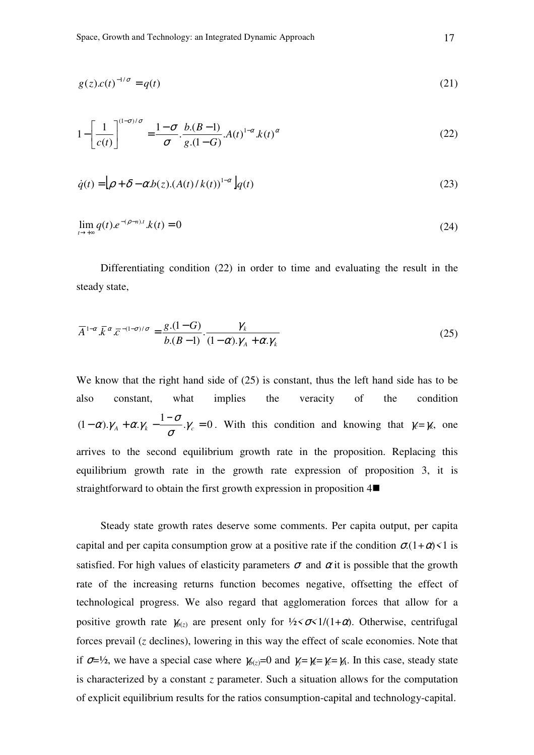$$
g(z)c(t)^{-1/\sigma} = q(t) \tag{21}
$$

$$
1 - \left[\frac{1}{c(t)}\right]^{(1-\sigma)/\sigma} = \frac{1-\sigma}{\sigma} \cdot \frac{b\cdot(B-1)}{g\cdot(1-G)} \cdot A(t)^{1-\alpha} \cdot k(t)^{\alpha}
$$
\n(22)

$$
\dot{q}(t) = \left[\rho + \delta - \alpha b(z) \left(A(t)/k(t)\right)^{1-\alpha}\right] q(t)
$$
\n(23)

$$
\lim_{t \to +\infty} q(t) e^{-(\rho - n)t} \cdot k(t) = 0 \tag{24}
$$

Differentiating condition (22) in order to time and evaluating the result in the steady state,

$$
\overline{A}^{1-\alpha} \cdot \overline{k}^{\alpha} \cdot \overline{c}^{-(1-\sigma)/\sigma} = \frac{g \cdot (1-G)}{b \cdot (B-1)} \cdot \frac{\gamma_k}{(1-\alpha) \cdot \gamma_A + \alpha \cdot \gamma_k} \tag{25}
$$

We know that the right hand side of (25) is constant, thus the left hand side has to be also constant, what implies the veracity of the condition  $(1-\alpha)\mathcal{Y}_A + \alpha\mathcal{Y}_k - \frac{1-\sigma}{\sigma}\mathcal{Y}_c = 0$  $\alpha$ ).  $\gamma_A + \alpha$ .  $\gamma_k - \frac{1-\sigma}{\gamma_c}$ .  $\gamma_c = 0$ . With this condition and knowing that  $\gamma_c = \gamma_k$ , one arrives to the second equilibrium growth rate in the proposition. Replacing this equilibrium growth rate in the growth rate expression of proposition 3, it is straightforward to obtain the first growth expression in proposition 4

Steady state growth rates deserve some comments. Per capita output, per capita capital and per capita consumption grow at a positive rate if the condition  $\sigma(1+\alpha) < 1$  is satisfied. For high values of elasticity parameters  $\sigma$  and  $\alpha$  it is possible that the growth rate of the increasing returns function becomes negative, offsetting the effect of technological progress. We also regard that agglomeration forces that allow for a positive growth rate  $\gamma_{b(z)}$  are present only for  $\frac{1}{2} < \sigma < 1/(1+\alpha)$ . Otherwise, centrifugal forces prevail (*z* declines), lowering in this way the effect of scale economies. Note that if  $\sigma = \frac{1}{2}$ , we have a special case where  $\gamma_{b(z)} = 0$  and  $\gamma = \gamma = \gamma_a$ . In this case, steady state is characterized by a constant *z* parameter. Such a situation allows for the computation of explicit equilibrium results for the ratios consumption-capital and technology-capital.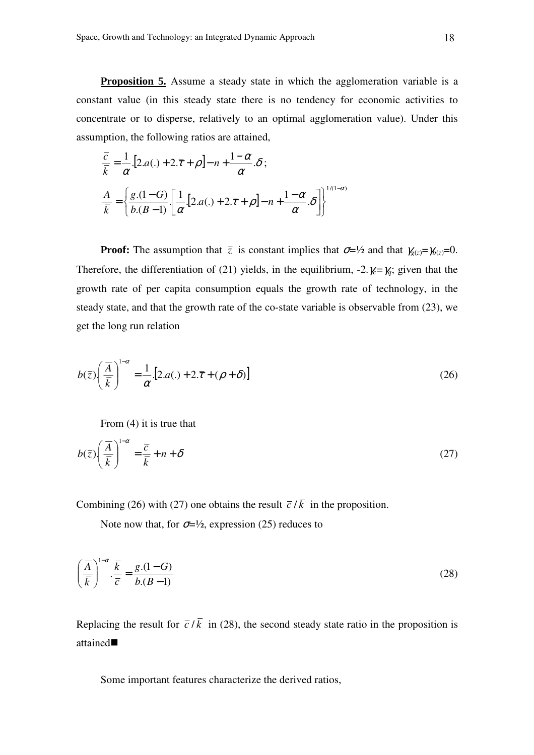**Proposition 5.** Assume a steady state in which the agglomeration variable is a constant value (in this steady state there is no tendency for economic activities to concentrate or to disperse, relatively to an optimal agglomeration value). Under this assumption, the following ratios are attained,

$$
\frac{\overline{c}}{\overline{k}} = \frac{1}{\alpha} \left[ 2.a(.) + 2.\overline{\tau} + \rho \right] - n + \frac{1 - \alpha}{\alpha} . \delta ;
$$
\n
$$
\frac{\overline{A}}{\overline{k}} = \left\{ \frac{g.(1 - G)}{b.(B - 1)} \left[ \frac{1}{\alpha} [2.a(.) + 2.\overline{\tau} + \rho] - n + \frac{1 - \alpha}{\alpha} . \delta \right] \right\}^{1/(1 - \alpha)}
$$

**Proof:** The assumption that  $\overline{z}$  is constant implies that  $\sigma = \frac{1}{2}$  and that  $\gamma_{g(z)} = \gamma_{h(z)} = 0$ . Therefore, the differentiation of (21) yields, in the equilibrium,  $-2.\gamma_c = \gamma_q$ ; given that the growth rate of per capita consumption equals the growth rate of technology, in the steady state, and that the growth rate of the co-state variable is observable from (23), we get the long run relation

$$
b(\bar{z})\left(\frac{\overline{A}}{\overline{k}}\right)^{1-\alpha} = \frac{1}{\alpha} [2.a(.) + 2.\overline{\tau} + (\rho + \delta)]
$$
 (26)

From (4) it is true that

$$
b(\bar{z}) \left(\frac{\overline{A}}{\overline{k}}\right)^{1-\alpha} = \frac{\overline{c}}{\overline{k}} + n + \delta
$$
 (27)

Combining (26) with (27) one obtains the result  $\overline{c}/\overline{k}$  in the proposition.

Note now that, for  $\sigma = \frac{1}{2}$ , expression (25) reduces to

$$
\left(\frac{\overline{A}}{\overline{k}}\right)^{1-\alpha} \cdot \frac{\overline{k}}{\overline{c}} = \frac{g(1-G)}{b(B-1)}
$$
\n(28)

Replacing the result for  $\overline{c}/\overline{k}$  in (28), the second steady state ratio in the proposition is attained

Some important features characterize the derived ratios,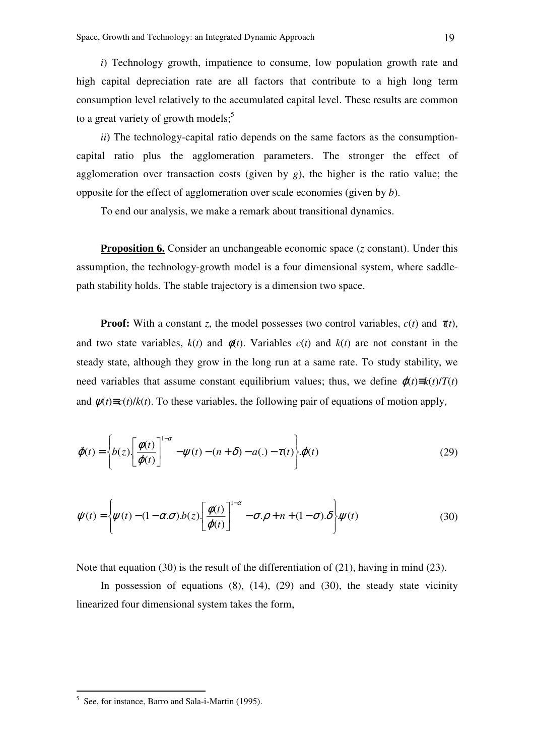*i*) Technology growth, impatience to consume, low population growth rate and high capital depreciation rate are all factors that contribute to a high long term consumption level relatively to the accumulated capital level. These results are common to a great variety of growth models; $<sup>5</sup>$ </sup>

*ii*) The technology-capital ratio depends on the same factors as the consumptioncapital ratio plus the agglomeration parameters. The stronger the effect of agglomeration over transaction costs (given by *g*), the higher is the ratio value; the opposite for the effect of agglomeration over scale economies (given by *b*).

To end our analysis, we make a remark about transitional dynamics.

**Proposition 6.** Consider an unchangeable economic space (*z* constant). Under this assumption, the technology-growth model is a four dimensional system, where saddlepath stability holds. The stable trajectory is a dimension two space.

**Proof:** With a constant *z*, the model possesses two control variables,  $c(t)$  and  $\tau(t)$ , and two state variables,  $k(t)$  and  $\phi(t)$ . Variables  $c(t)$  and  $k(t)$  are not constant in the steady state, although they grow in the long run at a same rate. To study stability, we need variables that assume constant equilibrium values; thus, we define  $\varphi(t) \equiv k(t)/T(t)$ and  $\psi(t) \equiv c(t)/k(t)$ . To these variables, the following pair of equations of motion apply,

$$
\dot{\varphi}(t) = \left\{ b(z) \left[ \frac{\phi(t)}{\varphi(t)} \right]^{1-\alpha} - \psi(t) - (n+\delta) - a(.) - \tau(t) \right\} \varphi(t)
$$
\n(29)

$$
\dot{\psi}(t) = \left\{\psi(t) - (1 - \alpha \sigma) b(z) \left[\frac{\phi(t)}{\phi(t)}\right]^{1-\alpha} - \sigma \phi + n + (1 - \sigma) \delta\right\} \psi(t)
$$
(30)

Note that equation (30) is the result of the differentiation of (21), having in mind (23).

In possession of equations  $(8)$ ,  $(14)$ ,  $(29)$  and  $(30)$ , the steady state vicinity linearized four dimensional system takes the form,

 $\overline{a}$ 

<sup>&</sup>lt;sup>5</sup> See, for instance, Barro and Sala-i-Martin (1995).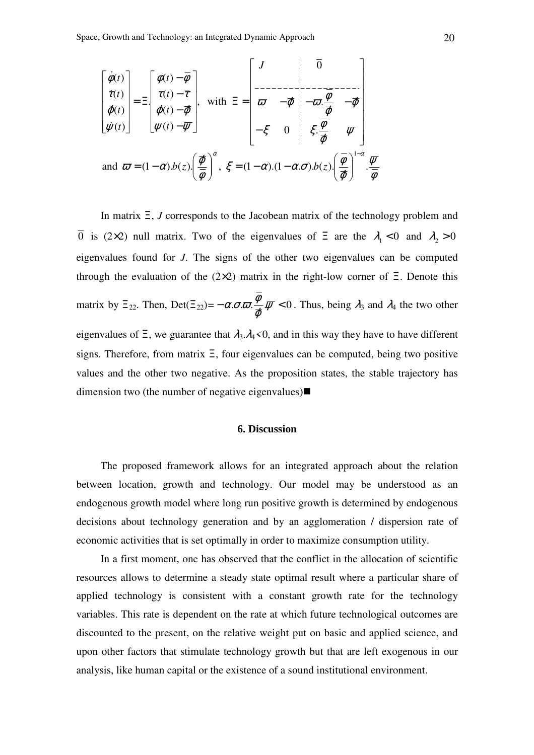$$
\begin{bmatrix}\n\dot{\phi}(t) \\
\dot{\tau}(t) \\
\dot{\phi}(t) \\
\dot{\psi}(t)\n\end{bmatrix} = \Xi \begin{bmatrix}\n\phi(t) - \overline{\phi} \\
\tau(t) - \overline{\tau} \\
\phi(t) - \overline{\phi} \\
\psi(t) - \overline{\psi}\n\end{bmatrix}, \text{ with } \Xi = \begin{bmatrix}\nJ & \overline{0} \\
-\overline{\phi} & -\overline{\phi} \\
\overline{\phi} & -\overline{\phi} & -\overline{\phi} \\
-\xi & 0 & \xi \frac{\overline{\phi}}{\overline{\phi}} & \overline{\psi}\n\end{bmatrix}
$$
\nand  $\overline{\omega} = (1 - \alpha)h(z) \left(\frac{\overline{\phi}}{\overline{\phi}}\right)^{\alpha}$ ,  $\xi = (1 - \alpha)(1 - \alpha, \sigma)h(z) \left(\frac{\overline{\phi}}{\overline{\phi}}\right)^{1-\alpha} \frac{\overline{\psi}}{\overline{\phi}}$ 

In matrix Ξ, *J* corresponds to the Jacobean matrix of the technology problem and  $\overline{0}$  is (2×2) null matrix. Two of the eigenvalues of  $\Xi$  are the  $\lambda_1 < 0$  and  $\lambda_2 > 0$ eigenvalues found for *J*. The signs of the other two eigenvalues can be computed through the evaluation of the  $(2\times2)$  matrix in the right-low corner of  $\Xi$ . Denote this matrix by  $\Xi_{22}$ . Then, Det( $\Xi_{22}$ )= -  $\alpha \sigma \overline{\omega} \cdot \frac{\gamma}{\psi} \cdot \overline{\psi}$  < 0 ϕ  $\alpha.\sigma.\overline{\omega}.\overline{\psi}$  = 0. Thus, being  $\lambda_3$  and  $\lambda_4$  the two other eigenvalues of  $\Xi$ , we guarantee that  $\lambda_3 \cdot \lambda_4 < 0$ , and in this way they have to have different signs. Therefore, from matrix Ξ, four eigenvalues can be computed, being two positive values and the other two negative. As the proposition states, the stable trajectory has dimension two (the number of negative eigenvalues)

### **6. Discussion**

The proposed framework allows for an integrated approach about the relation between location, growth and technology. Our model may be understood as an endogenous growth model where long run positive growth is determined by endogenous decisions about technology generation and by an agglomeration / dispersion rate of economic activities that is set optimally in order to maximize consumption utility.

In a first moment, one has observed that the conflict in the allocation of scientific resources allows to determine a steady state optimal result where a particular share of applied technology is consistent with a constant growth rate for the technology variables. This rate is dependent on the rate at which future technological outcomes are discounted to the present, on the relative weight put on basic and applied science, and upon other factors that stimulate technology growth but that are left exogenous in our analysis, like human capital or the existence of a sound institutional environment.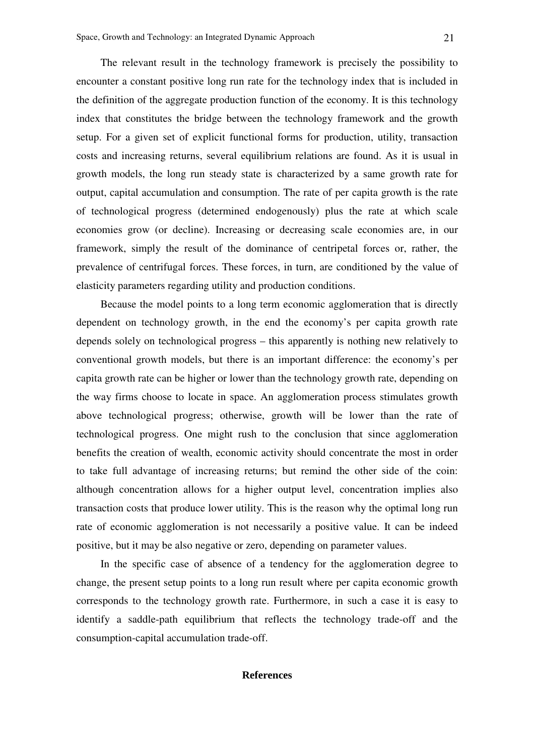The relevant result in the technology framework is precisely the possibility to encounter a constant positive long run rate for the technology index that is included in the definition of the aggregate production function of the economy. It is this technology index that constitutes the bridge between the technology framework and the growth setup. For a given set of explicit functional forms for production, utility, transaction costs and increasing returns, several equilibrium relations are found. As it is usual in growth models, the long run steady state is characterized by a same growth rate for output, capital accumulation and consumption. The rate of per capita growth is the rate of technological progress (determined endogenously) plus the rate at which scale economies grow (or decline). Increasing or decreasing scale economies are, in our framework, simply the result of the dominance of centripetal forces or, rather, the prevalence of centrifugal forces. These forces, in turn, are conditioned by the value of elasticity parameters regarding utility and production conditions.

Because the model points to a long term economic agglomeration that is directly dependent on technology growth, in the end the economy's per capita growth rate depends solely on technological progress – this apparently is nothing new relatively to conventional growth models, but there is an important difference: the economy's per capita growth rate can be higher or lower than the technology growth rate, depending on the way firms choose to locate in space. An agglomeration process stimulates growth above technological progress; otherwise, growth will be lower than the rate of technological progress. One might rush to the conclusion that since agglomeration benefits the creation of wealth, economic activity should concentrate the most in order to take full advantage of increasing returns; but remind the other side of the coin: although concentration allows for a higher output level, concentration implies also transaction costs that produce lower utility. This is the reason why the optimal long run rate of economic agglomeration is not necessarily a positive value. It can be indeed positive, but it may be also negative or zero, depending on parameter values.

In the specific case of absence of a tendency for the agglomeration degree to change, the present setup points to a long run result where per capita economic growth corresponds to the technology growth rate. Furthermore, in such a case it is easy to identify a saddle-path equilibrium that reflects the technology trade-off and the consumption-capital accumulation trade-off.

#### **References**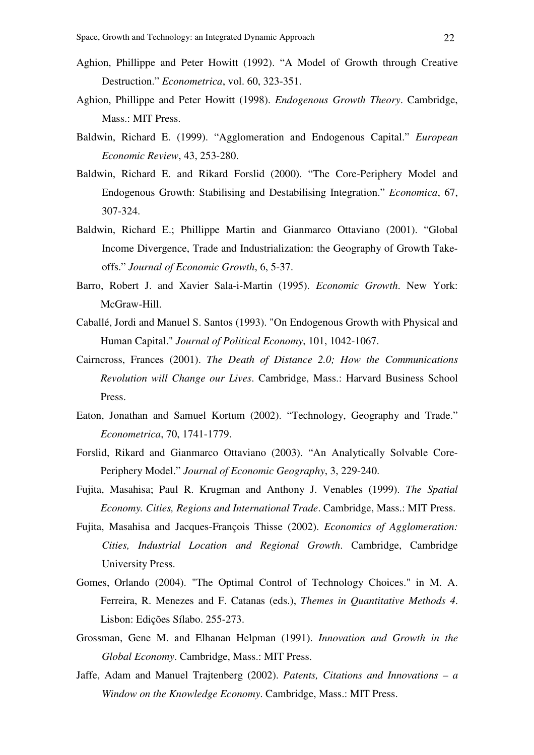- Aghion, Phillippe and Peter Howitt (1992). "A Model of Growth through Creative Destruction." *Econometrica*, vol. 60, 323-351.
- Aghion, Phillippe and Peter Howitt (1998). *Endogenous Growth Theory*. Cambridge, Mass.: MIT Press.
- Baldwin, Richard E. (1999). "Agglomeration and Endogenous Capital." *European Economic Review*, 43, 253-280.
- Baldwin, Richard E. and Rikard Forslid (2000). "The Core-Periphery Model and Endogenous Growth: Stabilising and Destabilising Integration." *Economica*, 67, 307-324.
- Baldwin, Richard E.; Phillippe Martin and Gianmarco Ottaviano (2001). "Global Income Divergence, Trade and Industrialization: the Geography of Growth Takeoffs." *Journal of Economic Growth*, 6, 5-37.
- Barro, Robert J. and Xavier Sala-i-Martin (1995). *Economic Growth*. New York: McGraw-Hill.
- Caballé, Jordi and Manuel S. Santos (1993). "On Endogenous Growth with Physical and Human Capital." *Journal of Political Economy*, 101, 1042-1067.
- Cairncross, Frances (2001). *The Death of Distance 2.0; How the Communications Revolution will Change our Lives*. Cambridge, Mass.: Harvard Business School Press.
- Eaton, Jonathan and Samuel Kortum (2002). "Technology, Geography and Trade." *Econometrica*, 70, 1741-1779.
- Forslid, Rikard and Gianmarco Ottaviano (2003). "An Analytically Solvable Core-Periphery Model." *Journal of Economic Geography*, 3, 229-240.
- Fujita, Masahisa; Paul R. Krugman and Anthony J. Venables (1999). *The Spatial Economy. Cities, Regions and International Trade*. Cambridge, Mass.: MIT Press.
- Fujita, Masahisa and Jacques-François Thisse (2002). *Economics of Agglomeration: Cities, Industrial Location and Regional Growth*. Cambridge, Cambridge University Press.
- Gomes, Orlando (2004). "The Optimal Control of Technology Choices." in M. A. Ferreira, R. Menezes and F. Catanas (eds.), *Themes in Quantitative Methods 4*. Lisbon: Edições Sílabo. 255-273.
- Grossman, Gene M. and Elhanan Helpman (1991). *Innovation and Growth in the Global Economy*. Cambridge, Mass.: MIT Press.
- Jaffe, Adam and Manuel Trajtenberg (2002). *Patents, Citations and Innovations a Window on the Knowledge Economy*. Cambridge, Mass.: MIT Press.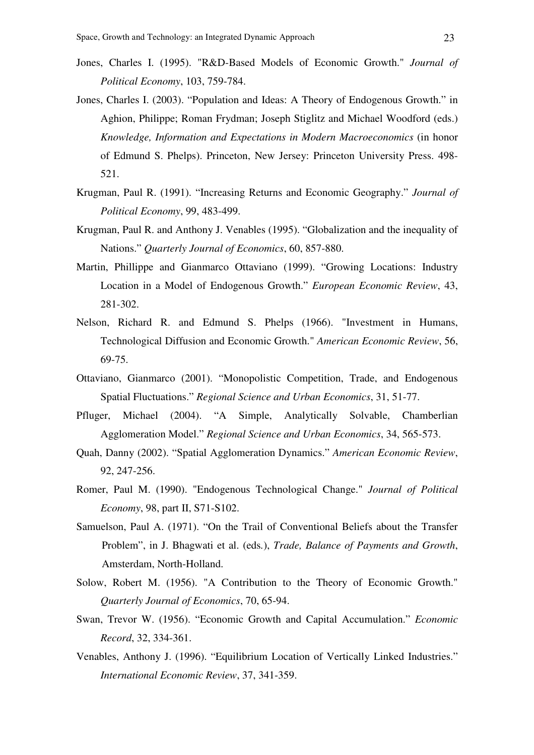- Jones, Charles I. (1995). "R&D-Based Models of Economic Growth." *Journal of Political Economy*, 103, 759-784.
- Jones, Charles I. (2003). "Population and Ideas: A Theory of Endogenous Growth." in Aghion, Philippe; Roman Frydman; Joseph Stiglitz and Michael Woodford (eds.) *Knowledge, Information and Expectations in Modern Macroeconomics* (in honor of Edmund S. Phelps). Princeton, New Jersey: Princeton University Press. 498- 521.
- Krugman, Paul R. (1991). "Increasing Returns and Economic Geography." *Journal of Political Economy*, 99, 483-499.
- Krugman, Paul R. and Anthony J. Venables (1995). "Globalization and the inequality of Nations." *Quarterly Journal of Economics*, 60, 857-880.
- Martin, Phillippe and Gianmarco Ottaviano (1999). "Growing Locations: Industry Location in a Model of Endogenous Growth." *European Economic Review*, 43, 281-302.
- Nelson, Richard R. and Edmund S. Phelps (1966). "Investment in Humans, Technological Diffusion and Economic Growth." *American Economic Review*, 56, 69-75.
- Ottaviano, Gianmarco (2001). "Monopolistic Competition, Trade, and Endogenous Spatial Fluctuations." *Regional Science and Urban Economics*, 31, 51-77.
- Pfluger, Michael (2004). "A Simple, Analytically Solvable, Chamberlian Agglomeration Model." *Regional Science and Urban Economics*, 34, 565-573.
- Quah, Danny (2002). "Spatial Agglomeration Dynamics." *American Economic Review*, 92, 247-256.
- Romer, Paul M. (1990). "Endogenous Technological Change." *Journal of Political Economy*, 98, part II, S71-S102.
- Samuelson, Paul A. (1971). "On the Trail of Conventional Beliefs about the Transfer Problem", in J. Bhagwati et al. (eds*.*), *Trade, Balance of Payments and Growth*, Amsterdam, North-Holland.
- Solow, Robert M. (1956). "A Contribution to the Theory of Economic Growth." *Quarterly Journal of Economics*, 70, 65-94.
- Swan, Trevor W. (1956). "Economic Growth and Capital Accumulation." *Economic Record*, 32, 334-361.
- Venables, Anthony J. (1996). "Equilibrium Location of Vertically Linked Industries." *International Economic Review*, 37, 341-359.